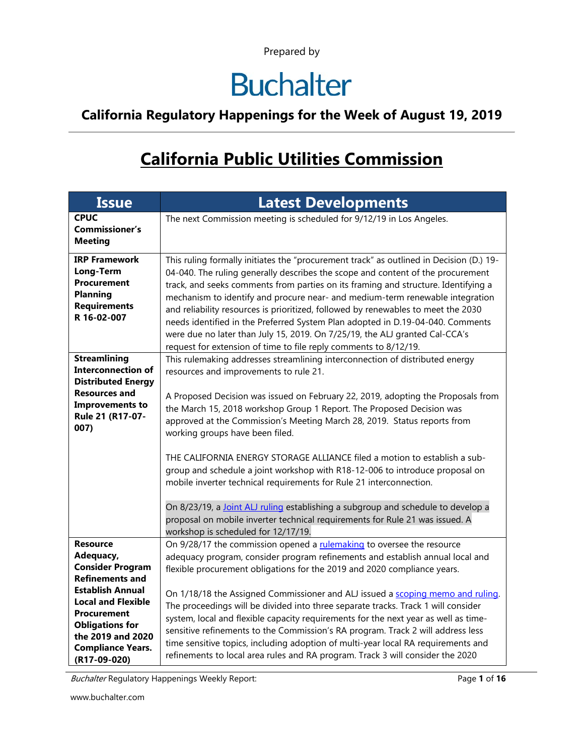## **Buchalter**

#### **California Regulatory Happenings for the Week of August 19, 2019**

### **California Public Utilities Commission**

| <b>Issue</b>                                                                                                                                                                                                                                               | <b>Latest Developments</b>                                                                                                                                                                                                                                                                                                                                                                                                                                                                                                                                                                                                                                                                                                                                                                                                                        |
|------------------------------------------------------------------------------------------------------------------------------------------------------------------------------------------------------------------------------------------------------------|---------------------------------------------------------------------------------------------------------------------------------------------------------------------------------------------------------------------------------------------------------------------------------------------------------------------------------------------------------------------------------------------------------------------------------------------------------------------------------------------------------------------------------------------------------------------------------------------------------------------------------------------------------------------------------------------------------------------------------------------------------------------------------------------------------------------------------------------------|
| <b>CPUC</b><br><b>Commissioner's</b><br><b>Meeting</b>                                                                                                                                                                                                     | The next Commission meeting is scheduled for 9/12/19 in Los Angeles.                                                                                                                                                                                                                                                                                                                                                                                                                                                                                                                                                                                                                                                                                                                                                                              |
| <b>IRP Framework</b><br>Long-Term<br>Procurement<br><b>Planning</b><br><b>Requirements</b><br>R 16-02-007                                                                                                                                                  | This ruling formally initiates the "procurement track" as outlined in Decision (D.) 19-<br>04-040. The ruling generally describes the scope and content of the procurement<br>track, and seeks comments from parties on its framing and structure. Identifying a<br>mechanism to identify and procure near- and medium-term renewable integration<br>and reliability resources is prioritized, followed by renewables to meet the 2030<br>needs identified in the Preferred System Plan adopted in D.19-04-040. Comments<br>were due no later than July 15, 2019. On 7/25/19, the ALJ granted Cal-CCA's<br>request for extension of time to file reply comments to 8/12/19.                                                                                                                                                                       |
| <b>Streamlining</b><br><b>Interconnection of</b><br><b>Distributed Energy</b><br><b>Resources and</b><br><b>Improvements to</b><br>Rule 21 (R17-07-<br>007)                                                                                                | This rulemaking addresses streamlining interconnection of distributed energy<br>resources and improvements to rule 21.<br>A Proposed Decision was issued on February 22, 2019, adopting the Proposals from<br>the March 15, 2018 workshop Group 1 Report. The Proposed Decision was<br>approved at the Commission's Meeting March 28, 2019. Status reports from<br>working groups have been filed.<br>THE CALIFORNIA ENERGY STORAGE ALLIANCE filed a motion to establish a sub-<br>group and schedule a joint workshop with R18-12-006 to introduce proposal on<br>mobile inverter technical requirements for Rule 21 interconnection.<br>On 8/23/19, a Joint ALJ ruling establishing a subgroup and schedule to develop a<br>proposal on mobile inverter technical requirements for Rule 21 was issued. A<br>workshop is scheduled for 12/17/19. |
| <b>Resource</b><br>Adequacy,<br><b>Consider Program</b><br><b>Refinements and</b><br><b>Establish Annual</b><br><b>Local and Flexible</b><br><b>Procurement</b><br><b>Obligations for</b><br>the 2019 and 2020<br><b>Compliance Years.</b><br>(R17-09-020) | On 9/28/17 the commission opened a rulemaking to oversee the resource<br>adequacy program, consider program refinements and establish annual local and<br>flexible procurement obligations for the 2019 and 2020 compliance years.<br>On 1/18/18 the Assigned Commissioner and ALJ issued a scoping memo and ruling.<br>The proceedings will be divided into three separate tracks. Track 1 will consider<br>system, local and flexible capacity requirements for the next year as well as time-<br>sensitive refinements to the Commission's RA program. Track 2 will address less<br>time sensitive topics, including adoption of multi-year local RA requirements and<br>refinements to local area rules and RA program. Track 3 will consider the 2020                                                                                        |

Buchalter Regulatory Happenings Weekly Report: Page 1 of 16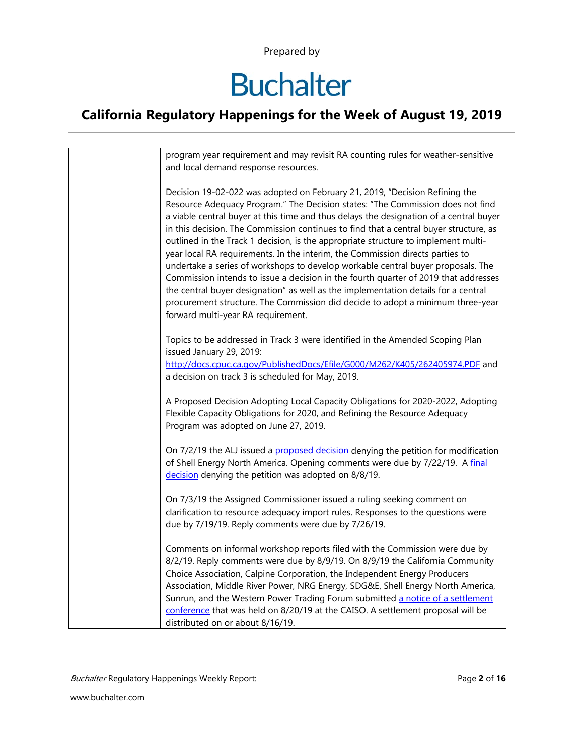## **Buchalter**

|  | program year requirement and may revisit RA counting rules for weather-sensitive<br>and local demand response resources.                                                                                                                                                                                                                                                                                                                                                                                                                                                                                                                                                                                                                                                                                                                                                                                         |
|--|------------------------------------------------------------------------------------------------------------------------------------------------------------------------------------------------------------------------------------------------------------------------------------------------------------------------------------------------------------------------------------------------------------------------------------------------------------------------------------------------------------------------------------------------------------------------------------------------------------------------------------------------------------------------------------------------------------------------------------------------------------------------------------------------------------------------------------------------------------------------------------------------------------------|
|  | Decision 19-02-022 was adopted on February 21, 2019, "Decision Refining the<br>Resource Adequacy Program." The Decision states: "The Commission does not find<br>a viable central buyer at this time and thus delays the designation of a central buyer<br>in this decision. The Commission continues to find that a central buyer structure, as<br>outlined in the Track 1 decision, is the appropriate structure to implement multi-<br>year local RA requirements. In the interim, the Commission directs parties to<br>undertake a series of workshops to develop workable central buyer proposals. The<br>Commission intends to issue a decision in the fourth quarter of 2019 that addresses<br>the central buyer designation" as well as the implementation details for a central<br>procurement structure. The Commission did decide to adopt a minimum three-year<br>forward multi-year RA requirement. |
|  | Topics to be addressed in Track 3 were identified in the Amended Scoping Plan<br>issued January 29, 2019:                                                                                                                                                                                                                                                                                                                                                                                                                                                                                                                                                                                                                                                                                                                                                                                                        |
|  | http://docs.cpuc.ca.gov/PublishedDocs/Efile/G000/M262/K405/262405974.PDF and<br>a decision on track 3 is scheduled for May, 2019.                                                                                                                                                                                                                                                                                                                                                                                                                                                                                                                                                                                                                                                                                                                                                                                |
|  | A Proposed Decision Adopting Local Capacity Obligations for 2020-2022, Adopting<br>Flexible Capacity Obligations for 2020, and Refining the Resource Adequacy<br>Program was adopted on June 27, 2019.                                                                                                                                                                                                                                                                                                                                                                                                                                                                                                                                                                                                                                                                                                           |
|  | On 7/2/19 the ALJ issued a proposed decision denying the petition for modification<br>of Shell Energy North America. Opening comments were due by 7/22/19. A final<br>decision denying the petition was adopted on 8/8/19.                                                                                                                                                                                                                                                                                                                                                                                                                                                                                                                                                                                                                                                                                       |
|  | On 7/3/19 the Assigned Commissioner issued a ruling seeking comment on<br>clarification to resource adequacy import rules. Responses to the questions were<br>due by 7/19/19. Reply comments were due by 7/26/19.                                                                                                                                                                                                                                                                                                                                                                                                                                                                                                                                                                                                                                                                                                |
|  | Comments on informal workshop reports filed with the Commission were due by<br>8/2/19. Reply comments were due by 8/9/19. On 8/9/19 the California Community<br>Choice Association, Calpine Corporation, the Independent Energy Producers<br>Association, Middle River Power, NRG Energy, SDG&E, Shell Energy North America,<br>Sunrun, and the Western Power Trading Forum submitted a notice of a settlement<br>conference that was held on 8/20/19 at the CAISO. A settlement proposal will be<br>distributed on or about 8/16/19.                                                                                                                                                                                                                                                                                                                                                                            |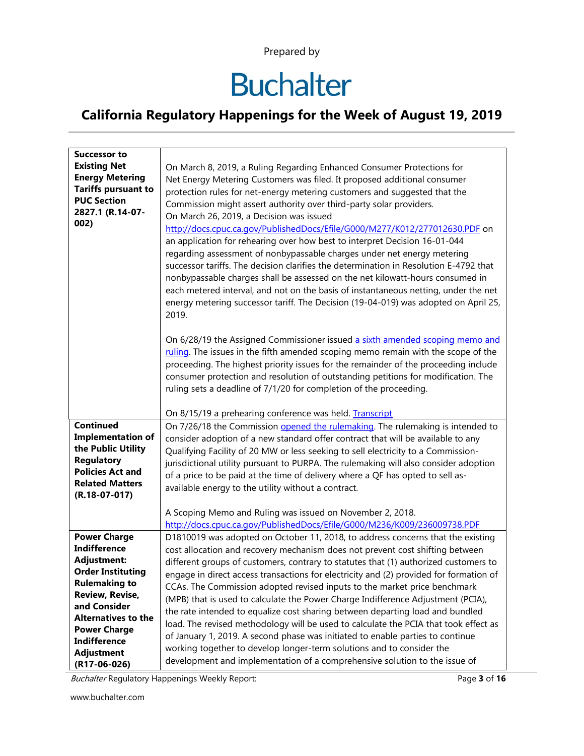## **Buchalter**

#### **California Regulatory Happenings for the Week of August 19, 2019**

| <b>Successor to</b><br><b>Existing Net</b><br><b>Energy Metering</b><br><b>Tariffs pursuant to</b><br><b>PUC Section</b> | On March 8, 2019, a Ruling Regarding Enhanced Consumer Protections for<br>Net Energy Metering Customers was filed. It proposed additional consumer<br>protection rules for net-energy metering customers and suggested that the                                                                                                                                                                                                                                                                                                                                                                                                                                                                                          |
|--------------------------------------------------------------------------------------------------------------------------|--------------------------------------------------------------------------------------------------------------------------------------------------------------------------------------------------------------------------------------------------------------------------------------------------------------------------------------------------------------------------------------------------------------------------------------------------------------------------------------------------------------------------------------------------------------------------------------------------------------------------------------------------------------------------------------------------------------------------|
| 2827.1 (R.14-07-<br>002)                                                                                                 | Commission might assert authority over third-party solar providers.<br>On March 26, 2019, a Decision was issued<br>http://docs.cpuc.ca.gov/PublishedDocs/Efile/G000/M277/K012/277012630.PDF on<br>an application for rehearing over how best to interpret Decision 16-01-044<br>regarding assessment of nonbypassable charges under net energy metering<br>successor tariffs. The decision clarifies the determination in Resolution E-4792 that<br>nonbypassable charges shall be assessed on the net kilowatt-hours consumed in<br>each metered interval, and not on the basis of instantaneous netting, under the net<br>energy metering successor tariff. The Decision (19-04-019) was adopted on April 25,<br>2019. |
|                                                                                                                          | On 6/28/19 the Assigned Commissioner issued a sixth amended scoping memo and<br>ruling. The issues in the fifth amended scoping memo remain with the scope of the<br>proceeding. The highest priority issues for the remainder of the proceeding include<br>consumer protection and resolution of outstanding petitions for modification. The<br>ruling sets a deadline of 7/1/20 for completion of the proceeding.                                                                                                                                                                                                                                                                                                      |
|                                                                                                                          | On 8/15/19 a prehearing conference was held. Transcript                                                                                                                                                                                                                                                                                                                                                                                                                                                                                                                                                                                                                                                                  |
| <b>Continued</b><br><b>Implementation of</b>                                                                             | On 7/26/18 the Commission opened the rulemaking. The rulemaking is intended to                                                                                                                                                                                                                                                                                                                                                                                                                                                                                                                                                                                                                                           |
| the Public Utility                                                                                                       | consider adoption of a new standard offer contract that will be available to any                                                                                                                                                                                                                                                                                                                                                                                                                                                                                                                                                                                                                                         |
| <b>Regulatory</b>                                                                                                        | Qualifying Facility of 20 MW or less seeking to sell electricity to a Commission-<br>jurisdictional utility pursuant to PURPA. The rulemaking will also consider adoption                                                                                                                                                                                                                                                                                                                                                                                                                                                                                                                                                |
| <b>Policies Act and</b>                                                                                                  | of a price to be paid at the time of delivery where a QF has opted to sell as-                                                                                                                                                                                                                                                                                                                                                                                                                                                                                                                                                                                                                                           |
| <b>Related Matters</b>                                                                                                   | available energy to the utility without a contract.                                                                                                                                                                                                                                                                                                                                                                                                                                                                                                                                                                                                                                                                      |
| $(R.18-07-017)$                                                                                                          |                                                                                                                                                                                                                                                                                                                                                                                                                                                                                                                                                                                                                                                                                                                          |
|                                                                                                                          | A Scoping Memo and Ruling was issued on November 2, 2018.                                                                                                                                                                                                                                                                                                                                                                                                                                                                                                                                                                                                                                                                |
|                                                                                                                          | http://docs.cpuc.ca.gov/PublishedDocs/Efile/G000/M236/K009/236009738.PDF                                                                                                                                                                                                                                                                                                                                                                                                                                                                                                                                                                                                                                                 |
| <b>Power Charge</b>                                                                                                      | D1810019 was adopted on October 11, 2018, to address concerns that the existing                                                                                                                                                                                                                                                                                                                                                                                                                                                                                                                                                                                                                                          |
| <b>Indifference</b>                                                                                                      | cost allocation and recovery mechanism does not prevent cost shifting between                                                                                                                                                                                                                                                                                                                                                                                                                                                                                                                                                                                                                                            |
| <b>Adjustment:</b>                                                                                                       | different groups of customers, contrary to statutes that (1) authorized customers to                                                                                                                                                                                                                                                                                                                                                                                                                                                                                                                                                                                                                                     |
| <b>Order Instituting</b>                                                                                                 | engage in direct access transactions for electricity and (2) provided for formation of                                                                                                                                                                                                                                                                                                                                                                                                                                                                                                                                                                                                                                   |
| <b>Rulemaking to</b>                                                                                                     | CCAs. The Commission adopted revised inputs to the market price benchmark                                                                                                                                                                                                                                                                                                                                                                                                                                                                                                                                                                                                                                                |
| <b>Review, Revise,</b>                                                                                                   | (MPB) that is used to calculate the Power Charge Indifference Adjustment (PCIA),                                                                                                                                                                                                                                                                                                                                                                                                                                                                                                                                                                                                                                         |
| and Consider                                                                                                             | the rate intended to equalize cost sharing between departing load and bundled                                                                                                                                                                                                                                                                                                                                                                                                                                                                                                                                                                                                                                            |
| <b>Alternatives to the</b>                                                                                               | load. The revised methodology will be used to calculate the PCIA that took effect as                                                                                                                                                                                                                                                                                                                                                                                                                                                                                                                                                                                                                                     |
| <b>Power Charge</b><br><b>Indifference</b>                                                                               | of January 1, 2019. A second phase was initiated to enable parties to continue                                                                                                                                                                                                                                                                                                                                                                                                                                                                                                                                                                                                                                           |
| Adjustment                                                                                                               | working together to develop longer-term solutions and to consider the                                                                                                                                                                                                                                                                                                                                                                                                                                                                                                                                                                                                                                                    |
| $(R17-06-026)$                                                                                                           | development and implementation of a comprehensive solution to the issue of                                                                                                                                                                                                                                                                                                                                                                                                                                                                                                                                                                                                                                               |

Buchalter Regulatory Happenings Weekly Report: Page 3 of **16**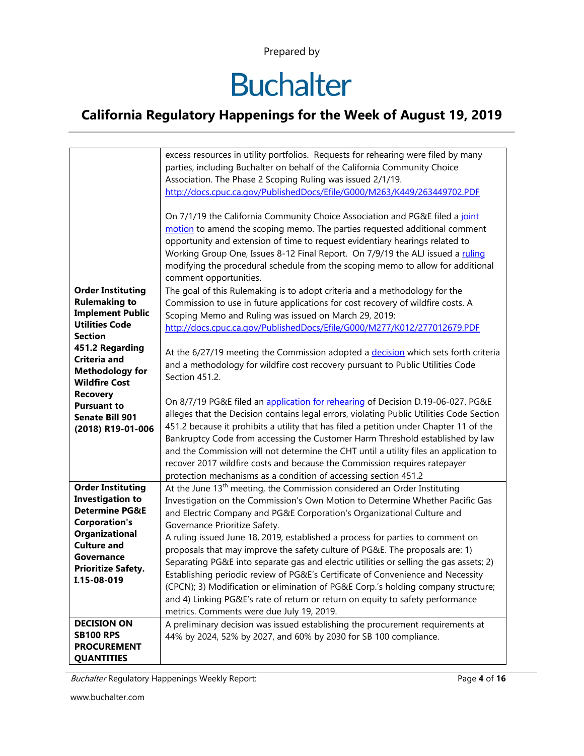## **Buchalter**

#### **California Regulatory Happenings for the Week of August 19, 2019**

|                           | excess resources in utility portfolios. Requests for rehearing were filed by many        |
|---------------------------|------------------------------------------------------------------------------------------|
|                           | parties, including Buchalter on behalf of the California Community Choice                |
|                           | Association. The Phase 2 Scoping Ruling was issued 2/1/19.                               |
|                           | http://docs.cpuc.ca.gov/PublishedDocs/Efile/G000/M263/K449/263449702.PDF                 |
|                           |                                                                                          |
|                           | On 7/1/19 the California Community Choice Association and PG&E filed a joint             |
|                           | motion to amend the scoping memo. The parties requested additional comment               |
|                           | opportunity and extension of time to request evidentiary hearings related to             |
|                           | Working Group One, Issues 8-12 Final Report. On 7/9/19 the ALJ issued a ruling           |
|                           | modifying the procedural schedule from the scoping memo to allow for additional          |
|                           | comment opportunities.                                                                   |
| <b>Order Instituting</b>  | The goal of this Rulemaking is to adopt criteria and a methodology for the               |
| <b>Rulemaking to</b>      | Commission to use in future applications for cost recovery of wildfire costs. A          |
| <b>Implement Public</b>   | Scoping Memo and Ruling was issued on March 29, 2019:                                    |
| <b>Utilities Code</b>     | http://docs.cpuc.ca.gov/PublishedDocs/Efile/G000/M277/K012/277012679.PDF                 |
| <b>Section</b>            |                                                                                          |
| 451.2 Regarding           | At the 6/27/19 meeting the Commission adopted a decision which sets forth criteria       |
| <b>Criteria and</b>       | and a methodology for wildfire cost recovery pursuant to Public Utilities Code           |
| <b>Methodology for</b>    | Section 451.2.                                                                           |
| <b>Wildfire Cost</b>      |                                                                                          |
| <b>Recovery</b>           | On 8/7/19 PG&E filed an application for rehearing of Decision D.19-06-027. PG&E          |
| <b>Pursuant to</b>        | alleges that the Decision contains legal errors, violating Public Utilities Code Section |
| <b>Senate Bill 901</b>    | 451.2 because it prohibits a utility that has filed a petition under Chapter 11 of the   |
| (2018) R19-01-006         | Bankruptcy Code from accessing the Customer Harm Threshold established by law            |
|                           | and the Commission will not determine the CHT until a utility files an application to    |
|                           | recover 2017 wildfire costs and because the Commission requires ratepayer                |
|                           | protection mechanisms as a condition of accessing section 451.2                          |
| <b>Order Instituting</b>  | At the June 13 <sup>th</sup> meeting, the Commission considered an Order Instituting     |
| <b>Investigation to</b>   | Investigation on the Commission's Own Motion to Determine Whether Pacific Gas            |
| <b>Determine PG&amp;E</b> | and Electric Company and PG&E Corporation's Organizational Culture and                   |
| <b>Corporation's</b>      | Governance Prioritize Safety.                                                            |
| Organizational            |                                                                                          |
| <b>Culture and</b>        | A ruling issued June 18, 2019, established a process for parties to comment on           |
| Governance                | proposals that may improve the safety culture of PG&E. The proposals are: 1)             |
| <b>Prioritize Safety.</b> | Separating PG&E into separate gas and electric utilities or selling the gas assets; 2)   |
| I.15-08-019               | Establishing periodic review of PG&E's Certificate of Convenience and Necessity          |
|                           | (CPCN); 3) Modification or elimination of PG&E Corp.'s holding company structure;        |
|                           | and 4) Linking PG&E's rate of return or return on equity to safety performance           |
|                           | metrics. Comments were due July 19, 2019.                                                |
| <b>DECISION ON</b>        | A preliminary decision was issued establishing the procurement requirements at           |
| <b>SB100 RPS</b>          | 44% by 2024, 52% by 2027, and 60% by 2030 for SB 100 compliance.                         |
| <b>PROCUREMENT</b>        |                                                                                          |
| <b>QUANTITIES</b>         |                                                                                          |

Buchalter Regulatory Happenings Weekly Report: Page 4 of **16** Page 4 of **16**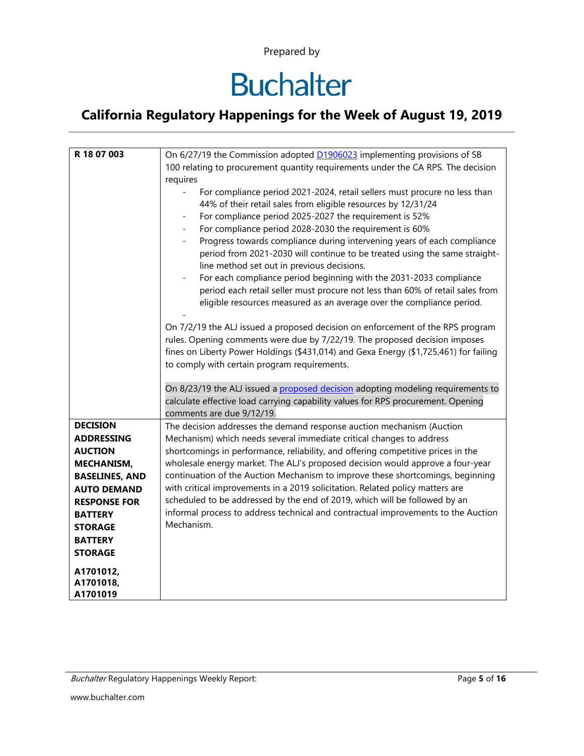## **Buchalter**

| R 18 07 003                      | On 6/27/19 the Commission adopted <b>D1906023</b> implementing provisions of SB<br>100 relating to procurement quantity requirements under the CA RPS. The decision                                                                                                                                                                                                                                                                                                                                                                                                                                                                                                                                                                 |
|----------------------------------|-------------------------------------------------------------------------------------------------------------------------------------------------------------------------------------------------------------------------------------------------------------------------------------------------------------------------------------------------------------------------------------------------------------------------------------------------------------------------------------------------------------------------------------------------------------------------------------------------------------------------------------------------------------------------------------------------------------------------------------|
|                                  | requires                                                                                                                                                                                                                                                                                                                                                                                                                                                                                                                                                                                                                                                                                                                            |
|                                  | For compliance period 2021-2024, retail sellers must procure no less than<br>44% of their retail sales from eligible resources by 12/31/24<br>For compliance period 2025-2027 the requirement is 52%<br>For compliance period 2028-2030 the requirement is 60%<br>$\blacksquare$<br>Progress towards compliance during intervening years of each compliance<br>$\equiv$<br>period from 2021-2030 will continue to be treated using the same straight-<br>line method set out in previous decisions.<br>For each compliance period beginning with the 2031-2033 compliance<br>period each retail seller must procure not less than 60% of retail sales from<br>eligible resources measured as an average over the compliance period. |
|                                  | On 7/2/19 the ALJ issued a proposed decision on enforcement of the RPS program<br>rules. Opening comments were due by 7/22/19. The proposed decision imposes<br>fines on Liberty Power Holdings (\$431,014) and Gexa Energy (\$1,725,461) for failing<br>to comply with certain program requirements.                                                                                                                                                                                                                                                                                                                                                                                                                               |
|                                  | On 8/23/19 the ALJ issued a proposed decision adopting modeling requirements to<br>calculate effective load carrying capability values for RPS procurement. Opening<br>comments are due 9/12/19.                                                                                                                                                                                                                                                                                                                                                                                                                                                                                                                                    |
| <b>DECISION</b>                  | The decision addresses the demand response auction mechanism (Auction                                                                                                                                                                                                                                                                                                                                                                                                                                                                                                                                                                                                                                                               |
| <b>ADDRESSING</b>                | Mechanism) which needs several immediate critical changes to address                                                                                                                                                                                                                                                                                                                                                                                                                                                                                                                                                                                                                                                                |
| <b>AUCTION</b>                   | shortcomings in performance, reliability, and offering competitive prices in the                                                                                                                                                                                                                                                                                                                                                                                                                                                                                                                                                                                                                                                    |
| <b>MECHANISM,</b>                | wholesale energy market. The ALJ's proposed decision would approve a four-year                                                                                                                                                                                                                                                                                                                                                                                                                                                                                                                                                                                                                                                      |
| <b>BASELINES, AND</b>            | continuation of the Auction Mechanism to improve these shortcomings, beginning                                                                                                                                                                                                                                                                                                                                                                                                                                                                                                                                                                                                                                                      |
| <b>AUTO DEMAND</b>               | with critical improvements in a 2019 solicitation. Related policy matters are<br>scheduled to be addressed by the end of 2019, which will be followed by an                                                                                                                                                                                                                                                                                                                                                                                                                                                                                                                                                                         |
| <b>RESPONSE FOR</b>              | informal process to address technical and contractual improvements to the Auction                                                                                                                                                                                                                                                                                                                                                                                                                                                                                                                                                                                                                                                   |
| <b>BATTERY</b><br><b>STORAGE</b> | Mechanism.                                                                                                                                                                                                                                                                                                                                                                                                                                                                                                                                                                                                                                                                                                                          |
| <b>BATTERY</b>                   |                                                                                                                                                                                                                                                                                                                                                                                                                                                                                                                                                                                                                                                                                                                                     |
| <b>STORAGE</b>                   |                                                                                                                                                                                                                                                                                                                                                                                                                                                                                                                                                                                                                                                                                                                                     |
|                                  |                                                                                                                                                                                                                                                                                                                                                                                                                                                                                                                                                                                                                                                                                                                                     |
| A1701012,                        |                                                                                                                                                                                                                                                                                                                                                                                                                                                                                                                                                                                                                                                                                                                                     |
| A1701018,                        |                                                                                                                                                                                                                                                                                                                                                                                                                                                                                                                                                                                                                                                                                                                                     |
| A1701019                         |                                                                                                                                                                                                                                                                                                                                                                                                                                                                                                                                                                                                                                                                                                                                     |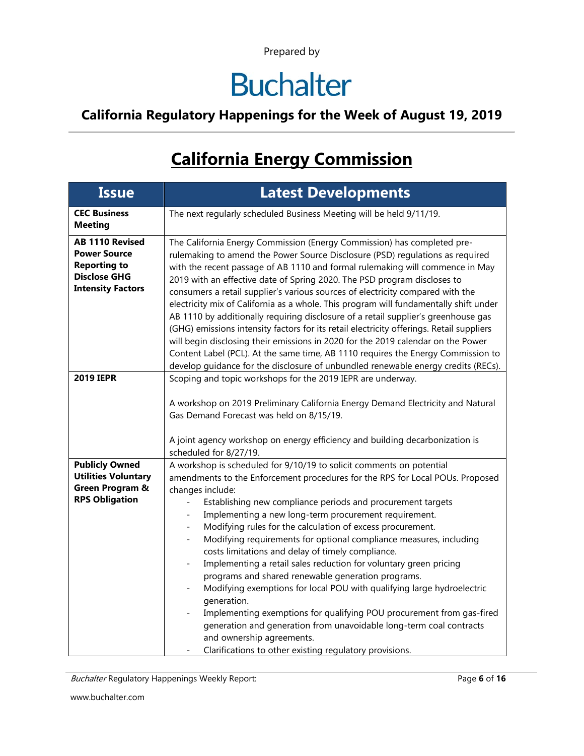## **Buchalter**

#### **California Regulatory Happenings for the Week of August 19, 2019**

### **California Energy Commission**

| <b>Issue</b>                                                                                                            | <b>Latest Developments</b>                                                                                                                                                                                                                                                                                                                                                                                                                                                                                                                                                                                                                                                                                                                                                                                                                                                                                                                             |
|-------------------------------------------------------------------------------------------------------------------------|--------------------------------------------------------------------------------------------------------------------------------------------------------------------------------------------------------------------------------------------------------------------------------------------------------------------------------------------------------------------------------------------------------------------------------------------------------------------------------------------------------------------------------------------------------------------------------------------------------------------------------------------------------------------------------------------------------------------------------------------------------------------------------------------------------------------------------------------------------------------------------------------------------------------------------------------------------|
| <b>CEC Business</b><br><b>Meeting</b>                                                                                   | The next regularly scheduled Business Meeting will be held 9/11/19.                                                                                                                                                                                                                                                                                                                                                                                                                                                                                                                                                                                                                                                                                                                                                                                                                                                                                    |
| <b>AB 1110 Revised</b><br><b>Power Source</b><br><b>Reporting to</b><br><b>Disclose GHG</b><br><b>Intensity Factors</b> | The California Energy Commission (Energy Commission) has completed pre-<br>rulemaking to amend the Power Source Disclosure (PSD) regulations as required<br>with the recent passage of AB 1110 and formal rulemaking will commence in May<br>2019 with an effective date of Spring 2020. The PSD program discloses to<br>consumers a retail supplier's various sources of electricity compared with the<br>electricity mix of California as a whole. This program will fundamentally shift under<br>AB 1110 by additionally requiring disclosure of a retail supplier's greenhouse gas<br>(GHG) emissions intensity factors for its retail electricity offerings. Retail suppliers<br>will begin disclosing their emissions in 2020 for the 2019 calendar on the Power<br>Content Label (PCL). At the same time, AB 1110 requires the Energy Commission to<br>develop guidance for the disclosure of unbundled renewable energy credits (RECs).        |
| <b>2019 IEPR</b>                                                                                                        | Scoping and topic workshops for the 2019 IEPR are underway.<br>A workshop on 2019 Preliminary California Energy Demand Electricity and Natural<br>Gas Demand Forecast was held on 8/15/19.<br>A joint agency workshop on energy efficiency and building decarbonization is<br>scheduled for 8/27/19.                                                                                                                                                                                                                                                                                                                                                                                                                                                                                                                                                                                                                                                   |
| <b>Publicly Owned</b><br><b>Utilities Voluntary</b><br>Green Program &<br><b>RPS Obligation</b>                         | A workshop is scheduled for 9/10/19 to solicit comments on potential<br>amendments to the Enforcement procedures for the RPS for Local POUs. Proposed<br>changes include:<br>Establishing new compliance periods and procurement targets<br>Implementing a new long-term procurement requirement.<br>Modifying rules for the calculation of excess procurement.<br>Modifying requirements for optional compliance measures, including<br>costs limitations and delay of timely compliance.<br>Implementing a retail sales reduction for voluntary green pricing<br>programs and shared renewable generation programs.<br>Modifying exemptions for local POU with qualifying large hydroelectric<br>generation.<br>Implementing exemptions for qualifying POU procurement from gas-fired<br>generation and generation from unavoidable long-term coal contracts<br>and ownership agreements.<br>Clarifications to other existing regulatory provisions. |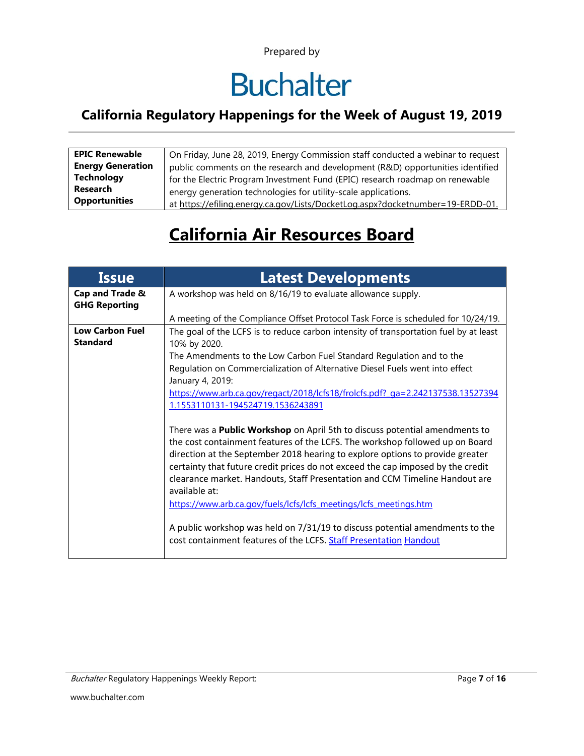## **Buchalter**

#### **California Regulatory Happenings for the Week of August 19, 2019**

| <b>EPIC Renewable</b>    | On Friday, June 28, 2019, Energy Commission staff conducted a webinar to request |
|--------------------------|----------------------------------------------------------------------------------|
| <b>Energy Generation</b> | public comments on the research and development (R&D) opportunities identified   |
| <b>Technology</b>        | for the Electric Program Investment Fund (EPIC) research roadmap on renewable    |
| Research                 | energy generation technologies for utility-scale applications.                   |
| <b>Opportunities</b>     | at https://efiling.energy.ca.gov/Lists/DocketLog.aspx?docketnumber=19-ERDD-01.   |

### **California Air Resources Board**

| <b>Issue</b>                              | <b>Latest Developments</b>                                                                                                                                                                                                                                                                                                                                                                                                                                                                                  |
|-------------------------------------------|-------------------------------------------------------------------------------------------------------------------------------------------------------------------------------------------------------------------------------------------------------------------------------------------------------------------------------------------------------------------------------------------------------------------------------------------------------------------------------------------------------------|
| Cap and Trade &<br><b>GHG Reporting</b>   | A workshop was held on 8/16/19 to evaluate allowance supply.                                                                                                                                                                                                                                                                                                                                                                                                                                                |
|                                           | A meeting of the Compliance Offset Protocol Task Force is scheduled for 10/24/19.                                                                                                                                                                                                                                                                                                                                                                                                                           |
| <b>Low Carbon Fuel</b><br><b>Standard</b> | The goal of the LCFS is to reduce carbon intensity of transportation fuel by at least<br>10% by 2020.                                                                                                                                                                                                                                                                                                                                                                                                       |
|                                           | The Amendments to the Low Carbon Fuel Standard Regulation and to the<br>Regulation on Commercialization of Alternative Diesel Fuels went into effect<br>January 4, 2019:                                                                                                                                                                                                                                                                                                                                    |
|                                           | https://www.arb.ca.gov/regact/2018/lcfs18/frolcfs.pdf? ga=2.242137538.13527394<br>1.1553110131-194524719.1536243891                                                                                                                                                                                                                                                                                                                                                                                         |
|                                           | There was a <b>Public Workshop</b> on April 5th to discuss potential amendments to<br>the cost containment features of the LCFS. The workshop followed up on Board<br>direction at the September 2018 hearing to explore options to provide greater<br>certainty that future credit prices do not exceed the cap imposed by the credit<br>clearance market. Handouts, Staff Presentation and CCM Timeline Handout are<br>available at:<br>https://www.arb.ca.gov/fuels/lcfs/lcfs meetings/lcfs meetings.htm |
|                                           | A public workshop was held on 7/31/19 to discuss potential amendments to the<br>cost containment features of the LCFS. Staff Presentation Handout                                                                                                                                                                                                                                                                                                                                                           |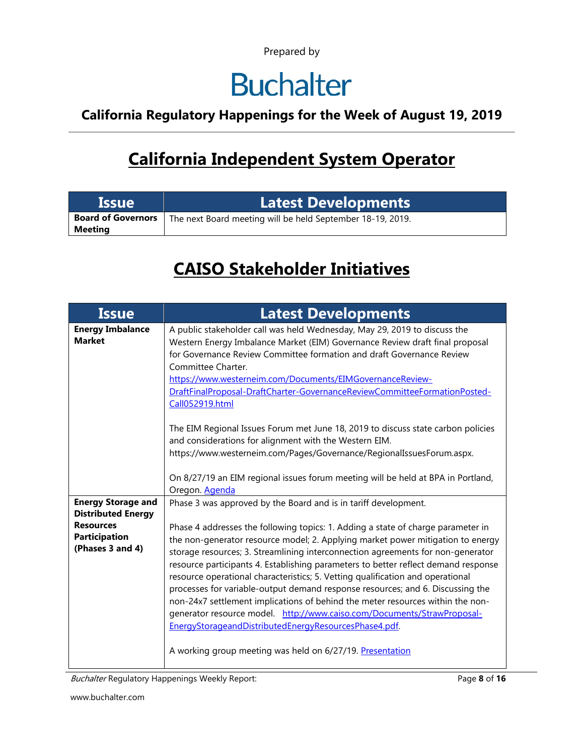## **Buchalter**

#### **California Regulatory Happenings for the Week of August 19, 2019**

### **California Independent System Operator**

| <b>Issue</b>                         | Latest Developments                                        |
|--------------------------------------|------------------------------------------------------------|
| <b>Board of Governors</b><br>Meeting | The next Board meeting will be held September 18-19, 2019. |

### **CAISO Stakeholder Initiatives**

| Issue                                                        | <b>Latest Developments</b>                                                                                                                                                                                                                                                                                                                                                                                                                                                                                                                                                                                                                                                                                                                                                                          |
|--------------------------------------------------------------|-----------------------------------------------------------------------------------------------------------------------------------------------------------------------------------------------------------------------------------------------------------------------------------------------------------------------------------------------------------------------------------------------------------------------------------------------------------------------------------------------------------------------------------------------------------------------------------------------------------------------------------------------------------------------------------------------------------------------------------------------------------------------------------------------------|
| <b>Energy Imbalance</b><br><b>Market</b>                     | A public stakeholder call was held Wednesday, May 29, 2019 to discuss the<br>Western Energy Imbalance Market (EIM) Governance Review draft final proposal<br>for Governance Review Committee formation and draft Governance Review<br>Committee Charter.<br>https://www.westerneim.com/Documents/EIMGovernanceReview-<br>DraftFinalProposal-DraftCharter-GovernanceReviewCommitteeFormationPosted-<br>Call052919.html                                                                                                                                                                                                                                                                                                                                                                               |
|                                                              | The EIM Regional Issues Forum met June 18, 2019 to discuss state carbon policies<br>and considerations for alignment with the Western EIM.<br>https://www.westerneim.com/Pages/Governance/RegionalIssuesForum.aspx.<br>On 8/27/19 an EIM regional issues forum meeting will be held at BPA in Portland,<br>Oregon. Agenda                                                                                                                                                                                                                                                                                                                                                                                                                                                                           |
| <b>Energy Storage and</b><br><b>Distributed Energy</b>       | Phase 3 was approved by the Board and is in tariff development.                                                                                                                                                                                                                                                                                                                                                                                                                                                                                                                                                                                                                                                                                                                                     |
| <b>Resources</b><br><b>Participation</b><br>(Phases 3 and 4) | Phase 4 addresses the following topics: 1. Adding a state of charge parameter in<br>the non-generator resource model; 2. Applying market power mitigation to energy<br>storage resources; 3. Streamlining interconnection agreements for non-generator<br>resource participants 4. Establishing parameters to better reflect demand response<br>resource operational characteristics; 5. Vetting qualification and operational<br>processes for variable-output demand response resources; and 6. Discussing the<br>non-24x7 settlement implications of behind the meter resources within the non-<br>generator resource model. http://www.caiso.com/Documents/StrawProposal-<br>EnergyStorageandDistributedEnergyResourcesPhase4.pdf.<br>A working group meeting was held on 6/27/19. Presentation |

Buchalter Regulatory Happenings Weekly Report: **Page 8 of 16** and **Page 8** of 16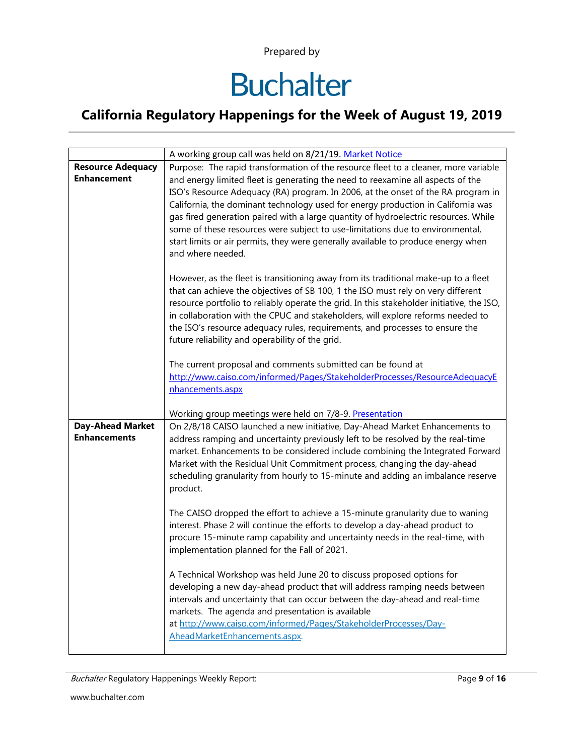## **Buchalter**

|                                                | A working group call was held on 8/21/19. Market Notice                                                                                                                                                                                                                                                                                                                                                                                                                                                                                   |
|------------------------------------------------|-------------------------------------------------------------------------------------------------------------------------------------------------------------------------------------------------------------------------------------------------------------------------------------------------------------------------------------------------------------------------------------------------------------------------------------------------------------------------------------------------------------------------------------------|
| <b>Resource Adequacy</b>                       | Purpose: The rapid transformation of the resource fleet to a cleaner, more variable                                                                                                                                                                                                                                                                                                                                                                                                                                                       |
| <b>Enhancement</b>                             | and energy limited fleet is generating the need to reexamine all aspects of the<br>ISO's Resource Adequacy (RA) program. In 2006, at the onset of the RA program in<br>California, the dominant technology used for energy production in California was<br>gas fired generation paired with a large quantity of hydroelectric resources. While<br>some of these resources were subject to use-limitations due to environmental,<br>start limits or air permits, they were generally available to produce energy when<br>and where needed. |
|                                                | However, as the fleet is transitioning away from its traditional make-up to a fleet<br>that can achieve the objectives of SB 100, 1 the ISO must rely on very different<br>resource portfolio to reliably operate the grid. In this stakeholder initiative, the ISO,<br>in collaboration with the CPUC and stakeholders, will explore reforms needed to<br>the ISO's resource adequacy rules, requirements, and processes to ensure the<br>future reliability and operability of the grid.                                                |
|                                                | The current proposal and comments submitted can be found at                                                                                                                                                                                                                                                                                                                                                                                                                                                                               |
|                                                | http://www.caiso.com/informed/Pages/StakeholderProcesses/ResourceAdequacyE                                                                                                                                                                                                                                                                                                                                                                                                                                                                |
|                                                | nhancements.aspx                                                                                                                                                                                                                                                                                                                                                                                                                                                                                                                          |
|                                                |                                                                                                                                                                                                                                                                                                                                                                                                                                                                                                                                           |
|                                                | Working group meetings were held on 7/8-9. Presentation                                                                                                                                                                                                                                                                                                                                                                                                                                                                                   |
| <b>Day-Ahead Market</b><br><b>Enhancements</b> | On 2/8/18 CAISO launched a new initiative, Day-Ahead Market Enhancements to<br>address ramping and uncertainty previously left to be resolved by the real-time<br>market. Enhancements to be considered include combining the Integrated Forward<br>Market with the Residual Unit Commitment process, changing the day-ahead<br>scheduling granularity from hourly to 15-minute and adding an imbalance reserve<br>product.                                                                                                               |
|                                                | The CAISO dropped the effort to achieve a 15-minute granularity due to waning<br>interest. Phase 2 will continue the efforts to develop a day-ahead product to<br>procure 15-minute ramp capability and uncertainty needs in the real-time, with<br>implementation planned for the Fall of 2021.                                                                                                                                                                                                                                          |
|                                                | A Technical Workshop was held June 20 to discuss proposed options for<br>developing a new day-ahead product that will address ramping needs between<br>intervals and uncertainty that can occur between the day-ahead and real-time<br>markets. The agenda and presentation is available<br>at http://www.caiso.com/informed/Pages/StakeholderProcesses/Day-<br>AheadMarketEnhancements.aspx.                                                                                                                                             |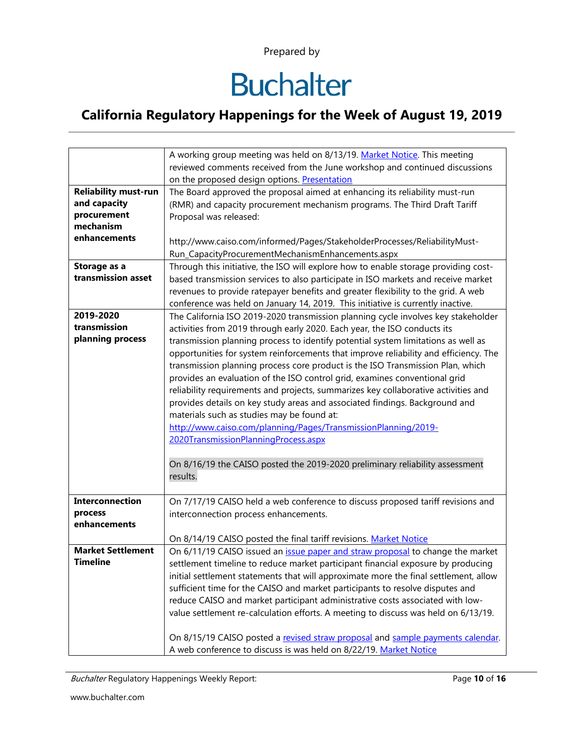## **Buchalter**

#### **California Regulatory Happenings for the Week of August 19, 2019**

|                             | A working group meeting was held on 8/13/19. Market Notice. This meeting             |
|-----------------------------|--------------------------------------------------------------------------------------|
|                             | reviewed comments received from the June workshop and continued discussions          |
|                             | on the proposed design options. Presentation                                         |
| <b>Reliability must-run</b> | The Board approved the proposal aimed at enhancing its reliability must-run          |
| and capacity                | (RMR) and capacity procurement mechanism programs. The Third Draft Tariff            |
| procurement                 | Proposal was released:                                                               |
| mechanism                   |                                                                                      |
| enhancements                | http://www.caiso.com/informed/Pages/StakeholderProcesses/ReliabilityMust-            |
|                             | Run_CapacityProcurementMechanismEnhancements.aspx                                    |
| Storage as a                | Through this initiative, the ISO will explore how to enable storage providing cost-  |
| transmission asset          | based transmission services to also participate in ISO markets and receive market    |
|                             | revenues to provide ratepayer benefits and greater flexibility to the grid. A web    |
|                             | conference was held on January 14, 2019. This initiative is currently inactive.      |
| 2019-2020                   | The California ISO 2019-2020 transmission planning cycle involves key stakeholder    |
| transmission                | activities from 2019 through early 2020. Each year, the ISO conducts its             |
| planning process            | transmission planning process to identify potential system limitations as well as    |
|                             | opportunities for system reinforcements that improve reliability and efficiency. The |
|                             | transmission planning process core product is the ISO Transmission Plan, which       |
|                             | provides an evaluation of the ISO control grid, examines conventional grid           |
|                             | reliability requirements and projects, summarizes key collaborative activities and   |
|                             | provides details on key study areas and associated findings. Background and          |
|                             | materials such as studies may be found at:                                           |
|                             | http://www.caiso.com/planning/Pages/TransmissionPlanning/2019-                       |
|                             | 2020TransmissionPlanningProcess.aspx                                                 |
|                             |                                                                                      |
|                             | On 8/16/19 the CAISO posted the 2019-2020 preliminary reliability assessment         |
|                             | results.                                                                             |
|                             |                                                                                      |
| <b>Interconnection</b>      | On 7/17/19 CAISO held a web conference to discuss proposed tariff revisions and      |
| process                     | interconnection process enhancements.                                                |
| enhancements                |                                                                                      |
|                             | On 8/14/19 CAISO posted the final tariff revisions. Market Notice                    |
| <b>Market Settlement</b>    | On 6/11/19 CAISO issued an issue paper and straw proposal to change the market       |
| <b>Timeline</b>             | settlement timeline to reduce market participant financial exposure by producing     |
|                             | initial settlement statements that will approximate more the final settlement, allow |
|                             | sufficient time for the CAISO and market participants to resolve disputes and        |
|                             | reduce CAISO and market participant administrative costs associated with low-        |
|                             | value settlement re-calculation efforts. A meeting to discuss was held on 6/13/19.   |
|                             |                                                                                      |
|                             | On 8/15/19 CAISO posted a revised straw proposal and sample payments calendar.       |
|                             | A web conference to discuss is was held on 8/22/19. Market Notice                    |

Buchalter Regulatory Happenings Weekly Report: Page **10** of **16**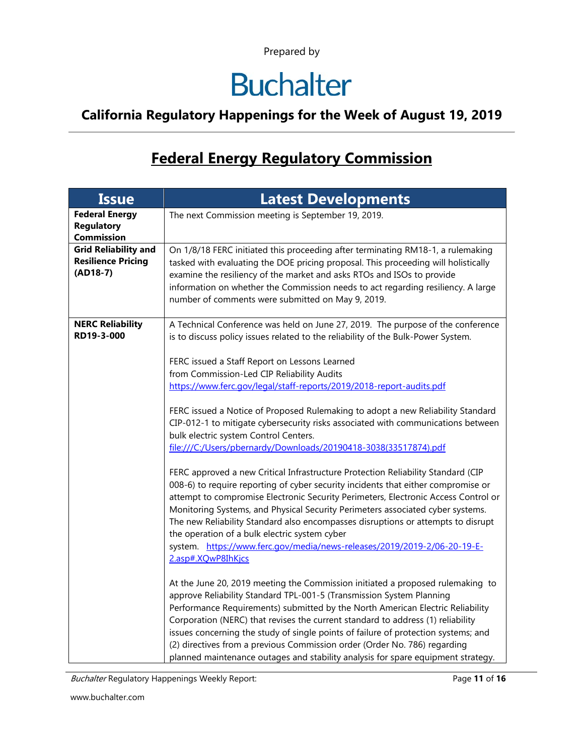### **Buchalter**

#### **California Regulatory Happenings for the Week of August 19, 2019**

### **Federal Energy Regulatory Commission**

| <b>Issue</b>                                                           | <b>Latest Developments</b>                                                                                                                                                                                                                                                                                                                                                                                                                                                                                                                                                           |  |  |  |  |
|------------------------------------------------------------------------|--------------------------------------------------------------------------------------------------------------------------------------------------------------------------------------------------------------------------------------------------------------------------------------------------------------------------------------------------------------------------------------------------------------------------------------------------------------------------------------------------------------------------------------------------------------------------------------|--|--|--|--|
| <b>Federal Energy</b><br><b>Regulatory</b><br><b>Commission</b>        | The next Commission meeting is September 19, 2019.                                                                                                                                                                                                                                                                                                                                                                                                                                                                                                                                   |  |  |  |  |
| <b>Grid Reliability and</b><br><b>Resilience Pricing</b><br>$(AD18-7)$ | On 1/8/18 FERC initiated this proceeding after terminating RM18-1, a rulemaking<br>tasked with evaluating the DOE pricing proposal. This proceeding will holistically<br>examine the resiliency of the market and asks RTOs and ISOs to provide<br>information on whether the Commission needs to act regarding resiliency. A large<br>number of comments were submitted on May 9, 2019.                                                                                                                                                                                             |  |  |  |  |
| <b>NERC Reliability</b><br>RD19-3-000                                  | A Technical Conference was held on June 27, 2019. The purpose of the conference<br>is to discuss policy issues related to the reliability of the Bulk-Power System.<br>FERC issued a Staff Report on Lessons Learned                                                                                                                                                                                                                                                                                                                                                                 |  |  |  |  |
|                                                                        | from Commission-Led CIP Reliability Audits<br>https://www.ferc.gov/legal/staff-reports/2019/2018-report-audits.pdf                                                                                                                                                                                                                                                                                                                                                                                                                                                                   |  |  |  |  |
|                                                                        | FERC issued a Notice of Proposed Rulemaking to adopt a new Reliability Standard<br>CIP-012-1 to mitigate cybersecurity risks associated with communications between<br>bulk electric system Control Centers.<br>file:///C:/Users/pbernardy/Downloads/20190418-3038(33517874).pdf                                                                                                                                                                                                                                                                                                     |  |  |  |  |
|                                                                        | FERC approved a new Critical Infrastructure Protection Reliability Standard (CIP<br>008-6) to require reporting of cyber security incidents that either compromise or<br>attempt to compromise Electronic Security Perimeters, Electronic Access Control or<br>Monitoring Systems, and Physical Security Perimeters associated cyber systems.<br>The new Reliability Standard also encompasses disruptions or attempts to disrupt<br>the operation of a bulk electric system cyber<br>system. https://www.ferc.gov/media/news-releases/2019/2019-2/06-20-19-E-<br>2.asp#.XQwP8IhKjcs |  |  |  |  |
|                                                                        | At the June 20, 2019 meeting the Commission initiated a proposed rulemaking to<br>approve Reliability Standard TPL-001-5 (Transmission System Planning<br>Performance Requirements) submitted by the North American Electric Reliability<br>Corporation (NERC) that revises the current standard to address (1) reliability<br>issues concerning the study of single points of failure of protection systems; and<br>(2) directives from a previous Commission order (Order No. 786) regarding<br>planned maintenance outages and stability analysis for spare equipment strategy.   |  |  |  |  |

Buchalter Regulatory Happenings Weekly Report: Page 11 of 16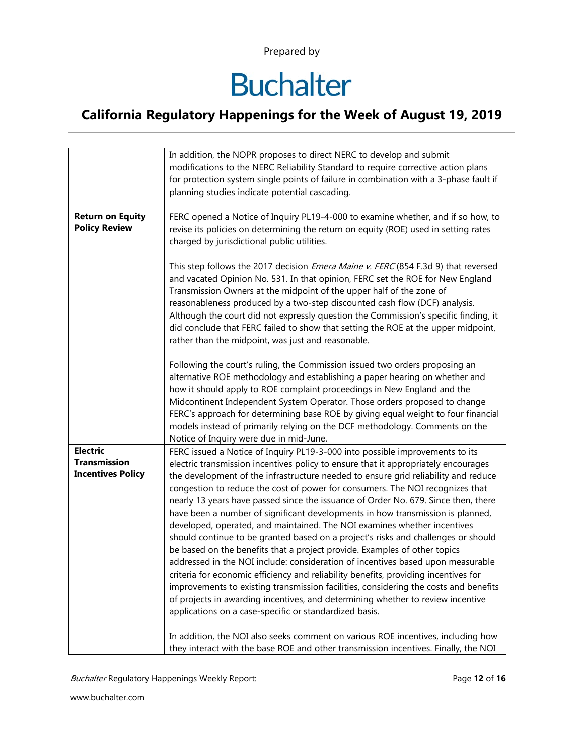## **Buchalter**

|                                                                    | In addition, the NOPR proposes to direct NERC to develop and submit<br>modifications to the NERC Reliability Standard to require corrective action plans<br>for protection system single points of failure in combination with a 3-phase fault if<br>planning studies indicate potential cascading.                                                                                                                                                                                                                                                                                                                                                                                                                                                                                                                                                                                                                                                                                                                                                                                                                                                                            |  |  |  |  |
|--------------------------------------------------------------------|--------------------------------------------------------------------------------------------------------------------------------------------------------------------------------------------------------------------------------------------------------------------------------------------------------------------------------------------------------------------------------------------------------------------------------------------------------------------------------------------------------------------------------------------------------------------------------------------------------------------------------------------------------------------------------------------------------------------------------------------------------------------------------------------------------------------------------------------------------------------------------------------------------------------------------------------------------------------------------------------------------------------------------------------------------------------------------------------------------------------------------------------------------------------------------|--|--|--|--|
| <b>Return on Equity</b><br><b>Policy Review</b>                    | FERC opened a Notice of Inquiry PL19-4-000 to examine whether, and if so how, to<br>revise its policies on determining the return on equity (ROE) used in setting rates<br>charged by jurisdictional public utilities.                                                                                                                                                                                                                                                                                                                                                                                                                                                                                                                                                                                                                                                                                                                                                                                                                                                                                                                                                         |  |  |  |  |
|                                                                    | This step follows the 2017 decision <i>Emera Maine v. FERC</i> (854 F.3d 9) that reversed<br>and vacated Opinion No. 531. In that opinion, FERC set the ROE for New England<br>Transmission Owners at the midpoint of the upper half of the zone of<br>reasonableness produced by a two-step discounted cash flow (DCF) analysis.<br>Although the court did not expressly question the Commission's specific finding, it<br>did conclude that FERC failed to show that setting the ROE at the upper midpoint,<br>rather than the midpoint, was just and reasonable.                                                                                                                                                                                                                                                                                                                                                                                                                                                                                                                                                                                                            |  |  |  |  |
|                                                                    | Following the court's ruling, the Commission issued two orders proposing an<br>alternative ROE methodology and establishing a paper hearing on whether and<br>how it should apply to ROE complaint proceedings in New England and the<br>Midcontinent Independent System Operator. Those orders proposed to change<br>FERC's approach for determining base ROE by giving equal weight to four financial<br>models instead of primarily relying on the DCF methodology. Comments on the<br>Notice of Inquiry were due in mid-June.                                                                                                                                                                                                                                                                                                                                                                                                                                                                                                                                                                                                                                              |  |  |  |  |
| <b>Electric</b><br><b>Transmission</b><br><b>Incentives Policy</b> | FERC issued a Notice of Inquiry PL19-3-000 into possible improvements to its<br>electric transmission incentives policy to ensure that it appropriately encourages<br>the development of the infrastructure needed to ensure grid reliability and reduce<br>congestion to reduce the cost of power for consumers. The NOI recognizes that<br>nearly 13 years have passed since the issuance of Order No. 679. Since then, there<br>have been a number of significant developments in how transmission is planned,<br>developed, operated, and maintained. The NOI examines whether incentives<br>should continue to be granted based on a project's risks and challenges or should<br>be based on the benefits that a project provide. Examples of other topics<br>addressed in the NOI include: consideration of incentives based upon measurable<br>criteria for economic efficiency and reliability benefits, providing incentives for<br>improvements to existing transmission facilities, considering the costs and benefits<br>of projects in awarding incentives, and determining whether to review incentive<br>applications on a case-specific or standardized basis. |  |  |  |  |
|                                                                    | In addition, the NOI also seeks comment on various ROE incentives, including how<br>they interact with the base ROE and other transmission incentives. Finally, the NOI                                                                                                                                                                                                                                                                                                                                                                                                                                                                                                                                                                                                                                                                                                                                                                                                                                                                                                                                                                                                        |  |  |  |  |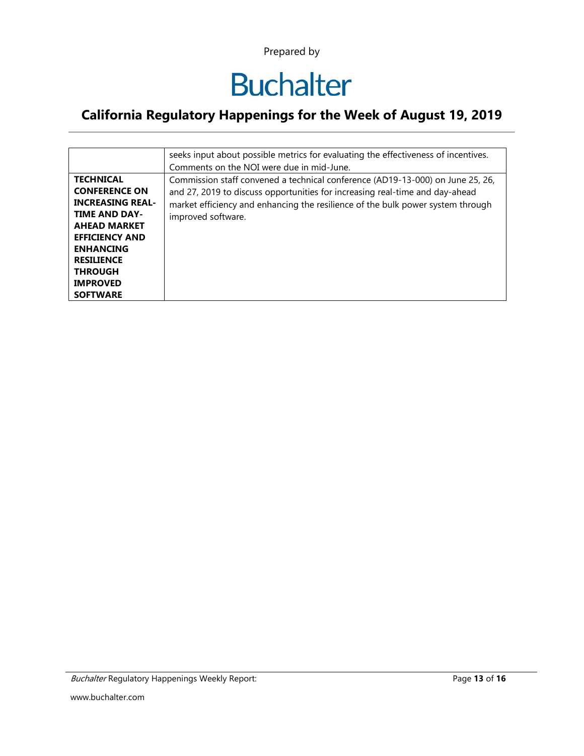# **Buchalter**

|                                                                                                                                                                                                                                              | seeks input about possible metrics for evaluating the effectiveness of incentives.<br>Comments on the NOI were due in mid-June.                                                                                                                                         |
|----------------------------------------------------------------------------------------------------------------------------------------------------------------------------------------------------------------------------------------------|-------------------------------------------------------------------------------------------------------------------------------------------------------------------------------------------------------------------------------------------------------------------------|
| <b>TECHNICAL</b><br><b>CONFERENCE ON</b><br><b>INCREASING REAL-</b><br><b>TIME AND DAY-</b><br><b>AHEAD MARKET</b><br><b>EFFICIENCY AND</b><br><b>ENHANCING</b><br><b>RESILIENCE</b><br><b>THROUGH</b><br><b>IMPROVED</b><br><b>SOFTWARE</b> | Commission staff convened a technical conference (AD19-13-000) on June 25, 26,<br>and 27, 2019 to discuss opportunities for increasing real-time and day-ahead<br>market efficiency and enhancing the resilience of the bulk power system through<br>improved software. |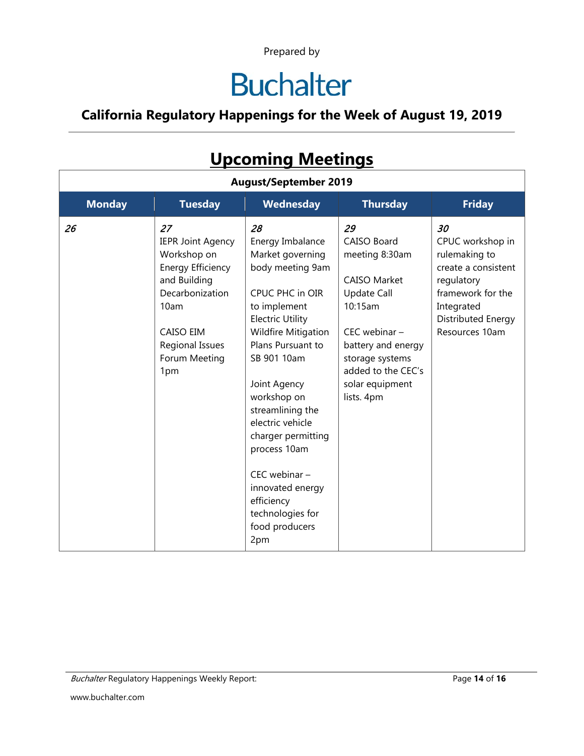## **Buchalter**

#### **California Regulatory Happenings for the Week of August 19, 2019**

| <b>OPCOMMIC MEETINGS</b>     |                                                                                                                                                                              |                                                                                                                                                                                                                                                                                                                                                                                                                 |                                                                                                                                                                                                                  |                                                                                                                                                         |  |  |  |  |
|------------------------------|------------------------------------------------------------------------------------------------------------------------------------------------------------------------------|-----------------------------------------------------------------------------------------------------------------------------------------------------------------------------------------------------------------------------------------------------------------------------------------------------------------------------------------------------------------------------------------------------------------|------------------------------------------------------------------------------------------------------------------------------------------------------------------------------------------------------------------|---------------------------------------------------------------------------------------------------------------------------------------------------------|--|--|--|--|
| <b>August/September 2019</b> |                                                                                                                                                                              |                                                                                                                                                                                                                                                                                                                                                                                                                 |                                                                                                                                                                                                                  |                                                                                                                                                         |  |  |  |  |
| <b>Monday</b>                | <b>Tuesday</b>                                                                                                                                                               | Wednesday                                                                                                                                                                                                                                                                                                                                                                                                       | <b>Thursday</b>                                                                                                                                                                                                  | <b>Friday</b>                                                                                                                                           |  |  |  |  |
| 26                           | 27<br><b>IEPR Joint Agency</b><br>Workshop on<br><b>Energy Efficiency</b><br>and Building<br>Decarbonization<br>10am<br>CAISO EIM<br>Regional Issues<br>Forum Meeting<br>1pm | 28<br>Energy Imbalance<br>Market governing<br>body meeting 9am<br>CPUC PHC in OIR<br>to implement<br><b>Electric Utility</b><br><b>Wildfire Mitigation</b><br>Plans Pursuant to<br>SB 901 10am<br>Joint Agency<br>workshop on<br>streamlining the<br>electric vehicle<br>charger permitting<br>process 10am<br>$CEC$ webinar $-$<br>innovated energy<br>efficiency<br>technologies for<br>food producers<br>2pm | 29<br>CAISO Board<br>meeting 8:30am<br><b>CAISO Market</b><br><b>Update Call</b><br>10:15am<br>$CEC$ webinar $-$<br>battery and energy<br>storage systems<br>added to the CEC's<br>solar equipment<br>lists. 4pm | 30<br>CPUC workshop in<br>rulemaking to<br>create a consistent<br>regulatory<br>framework for the<br>Integrated<br>Distributed Energy<br>Resources 10am |  |  |  |  |

### **Upcoming Meetings**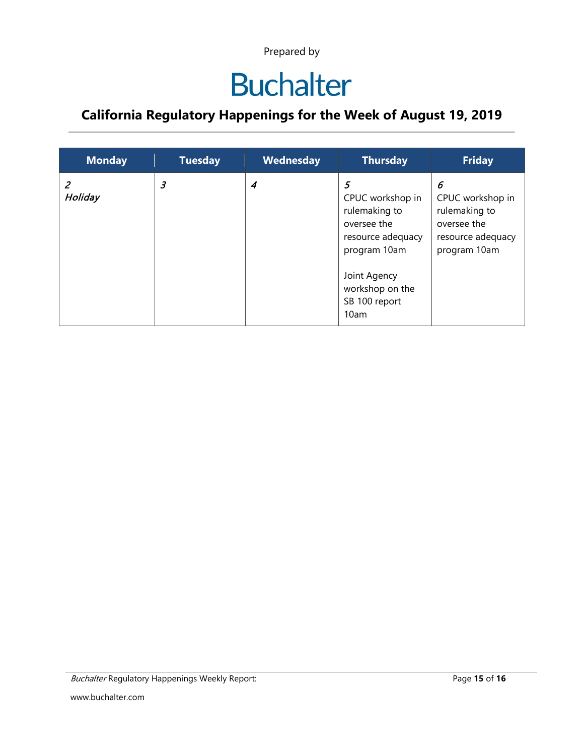## **Buchalter**

| <b>Monday</b> | <b>Tuesday</b>       | Wednesday | <b>Thursday</b>                                                                                                                                        | <b>Friday</b>                                                                              |
|---------------|----------------------|-----------|--------------------------------------------------------------------------------------------------------------------------------------------------------|--------------------------------------------------------------------------------------------|
| Holiday       | $\boldsymbol{\beta}$ | 4         | 5<br>CPUC workshop in<br>rulemaking to<br>oversee the<br>resource adequacy<br>program 10am<br>Joint Agency<br>workshop on the<br>SB 100 report<br>10am | 6<br>CPUC workshop in<br>rulemaking to<br>oversee the<br>resource adequacy<br>program 10am |